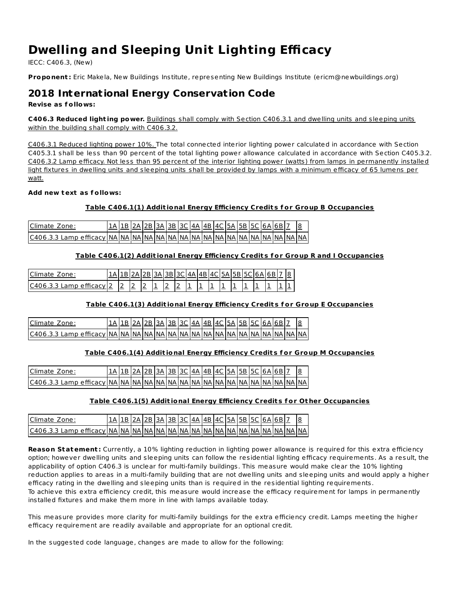# **Dwelling and Sleeping Unit Lighting Efficacy**

IECC: C406.3, (New)

**Proponent :** Eric Makela, New Buildings Institute, representing New Buildings Institute (ericm@newbuildings.org)

# **2018 International Energy Conservation Code**

**Revise as f ollows:**

**C406.3 Reduced light ing power.** Buildings shall comply with Section C406.3.1 and dwelling units and sleeping units within the building shall comply with C406.3.2.

C406.3.1 Reduced lighting power 10%. The total connected interior lighting power calculated in accordance with Section C405.3.1 shall be less than 90 percent of the total lighting power allowance calculated in accordance with Section C405.3.2. C406.3.2 Lamp efficacy. Not less than 95 percent of the interior lighting power (watts) from lamps in permanently installed light fixtures in dwelling units and sleeping units shall be provided by lamps with a minimum efficacy of 65 lumens per watt.

### **Add new text as f ollows:**

# **Table C406.1(1) Addit ional Energy Efficiency Credit s f or Group B Occupancies**

| Climate Zone: |  |  | 1A   1B   2A   2B   3A   3B   3C   4A   4B   4C   5A   5B   5C   6A   6B |  |  |  |  |  |  |
|---------------|--|--|--------------------------------------------------------------------------|--|--|--|--|--|--|
|               |  |  |                                                                          |  |  |  |  |  |  |

### **Table C406.1(2) Addit ional Energy Efficiency Credit s f or Group R and I Occupancies**

| Climate<br>∠one∙                       |  |   | .                        |                          |                          |   |        |                          |  |  |  |
|----------------------------------------|--|---|--------------------------|--------------------------|--------------------------|---|--------|--------------------------|--|--|--|
| cc:<br>C406.3.3<br>efficacy -<br>- Lam |  | = | $\overline{\phantom{a}}$ | $\overline{\phantom{a}}$ | $\overline{\phantom{a}}$ | - | $\sim$ | $\overline{\phantom{a}}$ |  |  |  |

# **Table C406.1(3) Addit ional Energy Efficiency Credit s f or Group E Occupancies**

| Climate Zone: |  | 1B 2A 2B 3A 3B 3C 4A 4B 4C 5A 5B 5C 6A 6B 7 |  |  |  |  |  |  |  |
|---------------|--|---------------------------------------------|--|--|--|--|--|--|--|
|               |  |                                             |  |  |  |  |  |  |  |

#### **Table C406.1(4) Addit ional Energy Efficiency Credit s f or Group M Occupancies**

| Climate Zone: |  | 1B   2A   2B   3A   3B   3C   4A   4B   4C   5A   5B   5C   6A   6B   7 |  |  |  |  |  |  |  |
|---------------|--|-------------------------------------------------------------------------|--|--|--|--|--|--|--|
|               |  |                                                                         |  |  |  |  |  |  |  |

#### **Table C406.1(5) Addit ional Energy Efficiency Credit s f or Ot her Occupancies**

| Climate Zone: | 1 A   1 B   2 A   2 B   3 A   3 B   3 C   4 A   4 B   4 C   5 A   5 B   5 C   6 A   6 B   1 |  |  |  |  |  |  |  |  |
|---------------|---------------------------------------------------------------------------------------------|--|--|--|--|--|--|--|--|
|               |                                                                                             |  |  |  |  |  |  |  |  |

**Reason Statement :** Currently, a 10% lighting reduction in lighting power allowance is required for this extra efficiency option; however dwelling units and sleeping units can follow the residential lighting efficacy requirements. As a result, the applicability of option C406.3 is unclear for multi-family buildings. This measure would make clear the 10% lighting reduction applies to areas in a multi-family building that are not dwelling units and sleeping units and would apply a higher efficacy rating in the dwelling and sleeping units than is required in the residential lighting requirements. To achieve this extra efficiency credit, this measure would increase the efficacy requirement for lamps in permanently installed fixtures and make them more in line with lamps available today.

This measure provides more clarity for multi-family buildings for the extra efficiency credit. Lamps meeting the higher efficacy requirement are readily available and appropriate for an optional credit.

In the suggested code language, changes are made to allow for the following: